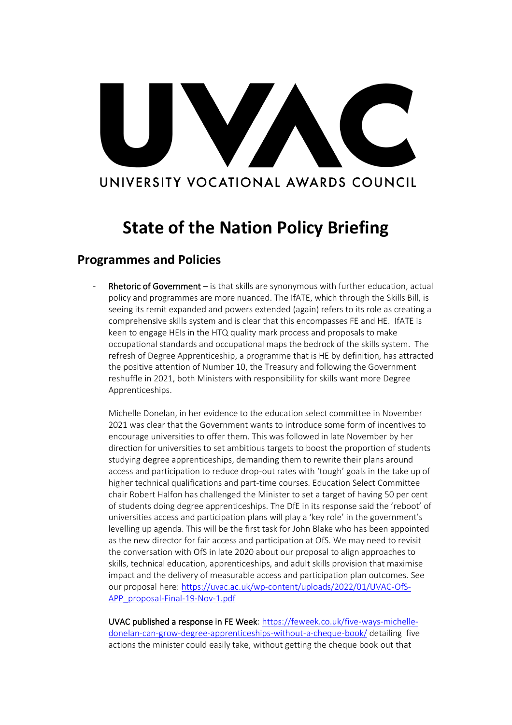# VA UNIVERSITY VOCATIONAL AWARDS COUNCIL

## **State of the Nation Policy Briefing**

### **Programmes and Policies**

Rhetoric of Government – is that skills are synonymous with further education, actual policy and programmes are more nuanced. The IfATE, which through the Skills Bill, is seeing its remit expanded and powers extended (again) refers to its role as creating a comprehensive skills system and is clear that this encompasses FE and HE. IfATE is keen to engage HEIs in the HTQ quality mark process and proposals to make occupational standards and occupational maps the bedrock of the skills system. The refresh of Degree Apprenticeship, a programme that is HE by definition, has attracted the positive attention of Number 10, the Treasury and following the Government reshuffle in 2021, both Ministers with responsibility for skills want more Degree Apprenticeships.

Michelle Donelan, in her evidence to the education select committee in November 2021 was clear that the Government wants to introduce some form of incentives to encourage universities to offer them. This was followed in late November by her direction for universities to set ambitious targets to boost the proportion of students studying degree apprenticeships, demanding them to rewrite their plans around access and participation to reduce drop-out rates with 'tough' goals in the take up of higher technical qualifications and part-time courses. Education Select Committee chair Robert Halfon has challenged the Minister to set a target of having 50 per cent of students doing degree apprenticeships. The DfE in its response said the 'reboot' of universities access and participation plans will play a 'key role' in the government's levelling up agenda. This will be the first task for John Blake who has been appointed as the new director for fair access and participation at OfS. We may need to revisit the conversation with OfS in late 2020 about our proposal to align approaches to skills, technical education, apprenticeships, and adult skills provision that maximise impact and the delivery of measurable access and participation plan outcomes. See our proposal here[: https://uvac.ac.uk/wp-content/uploads/2022/01/UVAC-OfS-](https://uvac.ac.uk/wp-content/uploads/2022/01/UVAC-OfS-APP_proposal-Final-19-Nov-1.pdf)[APP\\_proposal-Final-19-Nov-1.pdf](https://uvac.ac.uk/wp-content/uploads/2022/01/UVAC-OfS-APP_proposal-Final-19-Nov-1.pdf)

UVAC published a response in FE Week[: https://feweek.co.uk/five-ways-michelle](https://feweek.co.uk/five-ways-michelle-donelan-can-grow-degree-apprenticeships-without-a-cheque-book/)[donelan-can-grow-degree-apprenticeships-without-a-cheque-book/](https://feweek.co.uk/five-ways-michelle-donelan-can-grow-degree-apprenticeships-without-a-cheque-book/) detailing five actions the minister could easily take, without getting the cheque book out that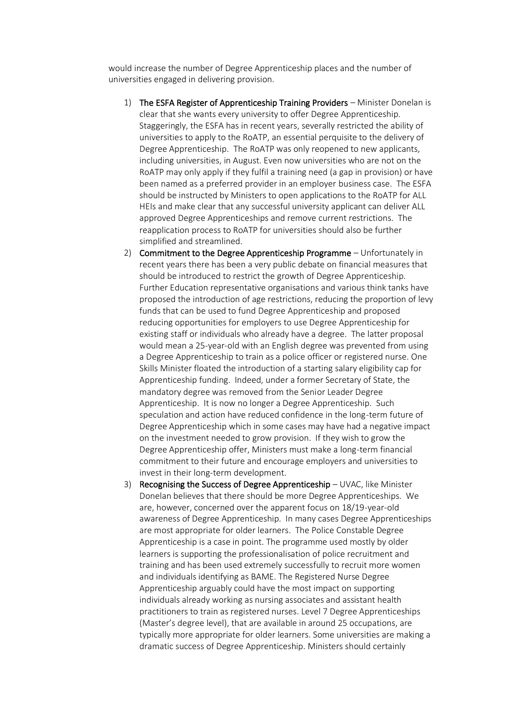would increase the number of Degree Apprenticeship places and the number of universities engaged in delivering provision.

- 1) The ESFA Register of Apprenticeship Training Providers Minister Donelan is clear that she wants every university to offer Degree Apprenticeship. Staggeringly, the ESFA has in recent years, severally restricted the ability of universities to apply to the RoATP, an essential perquisite to the delivery of Degree Apprenticeship. The RoATP was only reopened to new applicants, including universities, in August. Even now universities who are not on the RoATP may only apply if they fulfil a training need (a gap in provision) or have been named as a preferred provider in an employer business case. The ESFA should be instructed by Ministers to open applications to the RoATP for ALL HEIs and make clear that any successful university applicant can deliver ALL approved Degree Apprenticeships and remove current restrictions. The reapplication process to RoATP for universities should also be further simplified and streamlined.
- 2) Commitment to the Degree Apprenticeship Programme Unfortunately in recent years there has been a very public debate on financial measures that should be introduced to restrict the growth of Degree Apprenticeship. Further Education representative organisations and various think tanks have proposed the introduction of age restrictions, reducing the proportion of levy funds that can be used to fund Degree Apprenticeship and proposed reducing opportunities for employers to use Degree Apprenticeship for existing staff or individuals who already have a degree. The latter proposal would mean a 25-year-old with an English degree was prevented from using a Degree Apprenticeship to train as a police officer or registered nurse. One Skills Minister floated the introduction of a starting salary eligibility cap for Apprenticeship funding. Indeed, under a former Secretary of State, the mandatory degree was removed from the Senior Leader Degree Apprenticeship. It is now no longer a Degree Apprenticeship. Such speculation and action have reduced confidence in the long-term future of Degree Apprenticeship which in some cases may have had a negative impact on the investment needed to grow provision. If they wish to grow the Degree Apprenticeship offer, Ministers must make a long-term financial commitment to their future and encourage employers and universities to invest in their long-term development.
- 3) Recognising the Success of Degree Apprenticeship UVAC, like Minister Donelan believes that there should be more Degree Apprenticeships. We are, however, concerned over the apparent focus on 18/19-year-old awareness of Degree Apprenticeship. In many cases Degree Apprenticeships are most appropriate for older learners. The Police Constable Degree Apprenticeship is a case in point. The programme used mostly by older learners is supporting the professionalisation of police recruitment and training and has been used extremely successfully to recruit more women and individuals identifying as BAME. The Registered Nurse Degree Apprenticeship arguably could have the most impact on supporting individuals already working as nursing associates and assistant health practitioners to train as registered nurses. Level 7 Degree Apprenticeships (Master's degree level), that are available in around 25 occupations, are typically more appropriate for older learners. Some universities are making a dramatic success of Degree Apprenticeship. Ministers should certainly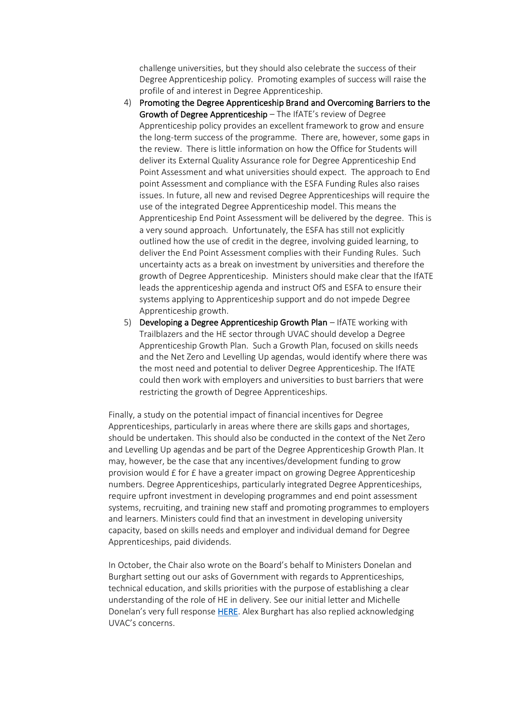challenge universities, but they should also celebrate the success of their Degree Apprenticeship policy. Promoting examples of success will raise the profile of and interest in Degree Apprenticeship.

- 4) Promoting the Degree Apprenticeship Brand and Overcoming Barriers to the Growth of Degree Apprenticeship – The IfATE's review of Degree Apprenticeship policy provides an excellent framework to grow and ensure the long-term success of the programme. There are, however, some gaps in the review. There is little information on how the Office for Students will deliver its External Quality Assurance role for Degree Apprenticeship End Point Assessment and what universities should expect. The approach to End point Assessment and compliance with the ESFA Funding Rules also raises issues. In future, all new and revised Degree Apprenticeships will require the use of the integrated Degree Apprenticeship model. This means the Apprenticeship End Point Assessment will be delivered by the degree. This is a very sound approach. Unfortunately, the ESFA has still not explicitly outlined how the use of credit in the degree, involving guided learning, to deliver the End Point Assessment complies with their Funding Rules. Such uncertainty acts as a break on investment by universities and therefore the growth of Degree Apprenticeship. Ministers should make clear that the IfATE leads the apprenticeship agenda and instruct OfS and ESFA to ensure their systems applying to Apprenticeship support and do not impede Degree Apprenticeship growth.
- 5) Developing a Degree Apprenticeship Growth Plan IfATE working with Trailblazers and the HE sector through UVAC should develop a Degree Apprenticeship Growth Plan. Such a Growth Plan, focused on skills needs and the Net Zero and Levelling Up agendas, would identify where there was the most need and potential to deliver Degree Apprenticeship. The IfATE could then work with employers and universities to bust barriers that were restricting the growth of Degree Apprenticeships.

Finally, a study on the potential impact of financial incentives for Degree Apprenticeships, particularly in areas where there are skills gaps and shortages, should be undertaken. This should also be conducted in the context of the Net Zero and Levelling Up agendas and be part of the Degree Apprenticeship Growth Plan. It may, however, be the case that any incentives/development funding to grow provision would £ for £ have a greater impact on growing Degree Apprenticeship numbers. Degree Apprenticeships, particularly integrated Degree Apprenticeships, require upfront investment in developing programmes and end point assessment systems, recruiting, and training new staff and promoting programmes to employers and learners. Ministers could find that an investment in developing university capacity, based on skills needs and employer and individual demand for Degree Apprenticeships, paid dividends.

In October, the Chair also wrote on the Board's behalf to Ministers Donelan and Burghart setting out our asks of Government with regards to Apprenticeships, technical education, and skills priorities with the purpose of establishing a clear understanding of the role of HE in delivery. See our initial letter and Michelle Donelan's very full response [HERE.](https://uvac.ac.uk/uvac-ministerial-letters/) Alex Burghart has also replied acknowledging UVAC's concerns.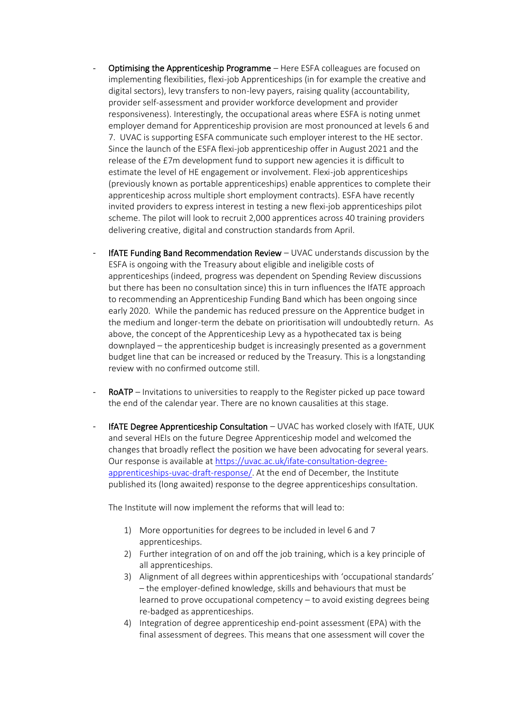- Optimising the Apprenticeship Programme Here ESFA colleagues are focused on implementing flexibilities, flexi-job Apprenticeships (in for example the creative and digital sectors), levy transfers to non-levy payers, raising quality (accountability, provider self-assessment and provider workforce development and provider responsiveness). Interestingly, the occupational areas where ESFA is noting unmet employer demand for Apprenticeship provision are most pronounced at levels 6 and 7. UVAC is supporting ESFA communicate such employer interest to the HE sector. Since the launch of the ESFA flexi-job apprenticeship offer in August 2021 and the release of the £7m development fund to support new agencies it is difficult to estimate the level of HE engagement or involvement. Flexi-job apprenticeships (previously known as portable apprenticeships) enable apprentices to complete their apprenticeship across multiple short employment contracts). ESFA have recently invited providers to express interest in testing a new flexi-job apprenticeships pilot scheme. The pilot will look to recruit 2,000 apprentices across 40 training providers delivering creative, digital and construction standards from April.
- IfATE Funding Band Recommendation Review  $-$  UVAC understands discussion by the ESFA is ongoing with the Treasury about eligible and ineligible costs of apprenticeships (indeed, progress was dependent on Spending Review discussions but there has been no consultation since) this in turn influences the IfATE approach to recommending an Apprenticeship Funding Band which has been ongoing since early 2020. While the pandemic has reduced pressure on the Apprentice budget in the medium and longer-term the debate on prioritisation will undoubtedly return. As above, the concept of the Apprenticeship Levy as a hypothecated tax is being downplayed – the apprenticeship budget is increasingly presented as a government budget line that can be increased or reduced by the Treasury. This is a longstanding review with no confirmed outcome still.
- RoATP Invitations to universities to reapply to the Register picked up pace toward the end of the calendar year. There are no known causalities at this stage.
- IfATE Degree Apprenticeship Consultation  $-$  UVAC has worked closely with IfATE, UUK and several HEIs on the future Degree Apprenticeship model and welcomed the changes that broadly reflect the position we have been advocating for several years. Our response is available at [https://uvac.ac.uk/ifate-consultation-degree](https://uvac.ac.uk/ifate-consultation-degree-apprenticeships-uvac-draft-response/)[apprenticeships-uvac-draft-response/.](https://uvac.ac.uk/ifate-consultation-degree-apprenticeships-uvac-draft-response/) At the end of December, the Institute published its (long awaited) response to the degree apprenticeships consultation.

The Institute will now implement the reforms that will lead to:

- 1) More opportunities for degrees to be included in level 6 and 7 apprenticeships.
- 2) Further integration of on and off the job training, which is a key principle of all apprenticeships.
- 3) Alignment of all degrees within apprenticeships with 'occupational standards' – the employer-defined knowledge, skills and behaviours that must be learned to prove occupational competency – to avoid existing degrees being re-badged as apprenticeships.
- 4) Integration of degree apprenticeship end-point assessment (EPA) with the final assessment of degrees. This means that one assessment will cover the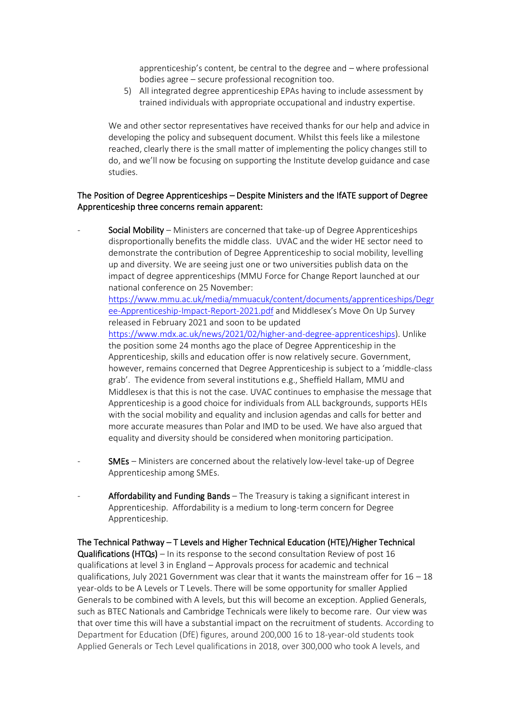apprenticeship's content, be central to the degree and – where professional bodies agree – secure professional recognition too.

5) All integrated degree apprenticeship EPAs having to include assessment by trained individuals with appropriate occupational and industry expertise.

We and other sector representatives have received thanks for our help and advice in developing the policy and subsequent document. Whilst this feels like a milestone reached, clearly there is the small matter of implementing the policy changes still to do, and we'll now be focusing on supporting the Institute develop guidance and case studies.

#### The Position of Degree Apprenticeships – Despite Ministers and the IfATE support of Degree Apprenticeship three concerns remain apparent:

Social Mobility – Ministers are concerned that take-up of Degree Apprenticeships disproportionally benefits the middle class. UVAC and the wider HE sector need to demonstrate the contribution of Degree Apprenticeship to social mobility, levelling up and diversity. We are seeing just one or two universities publish data on the impact of degree apprenticeships (MMU Force for Change Report launched at our national conference on 25 November:

[https://www.mmu.ac.uk/media/mmuacuk/content/documents/apprenticeships/Degr](https://www.mmu.ac.uk/media/mmuacuk/content/documents/apprenticeships/Degree-Apprenticeship-Impact-Report-2021.pdf) [ee-Apprenticeship-Impact-Report-2021.pdf](https://www.mmu.ac.uk/media/mmuacuk/content/documents/apprenticeships/Degree-Apprenticeship-Impact-Report-2021.pdf) and Middlesex's Move On Up Survey released in February 2021 and soon to be updated

[https://www.mdx.ac.uk/news/2021/02/higher-and-degree-apprenticeships\)](https://www.mdx.ac.uk/news/2021/02/higher-and-degree-apprenticeships). Unlike the position some 24 months ago the place of Degree Apprenticeship in the Apprenticeship, skills and education offer is now relatively secure. Government, however, remains concerned that Degree Apprenticeship is subject to a 'middle-class grab'. The evidence from several institutions e.g., Sheffield Hallam, MMU and Middlesex is that this is not the case. UVAC continues to emphasise the message that Apprenticeship is a good choice for individuals from ALL backgrounds, supports HEIs with the social mobility and equality and inclusion agendas and calls for better and more accurate measures than Polar and IMD to be used. We have also argued that equality and diversity should be considered when monitoring participation.

- SMEs Ministers are concerned about the relatively low-level take-up of Degree Apprenticeship among SMEs.
- Affordability and Funding Bands  $-$  The Treasury is taking a significant interest in Apprenticeship. Affordability is a medium to long-term concern for Degree Apprenticeship.

The Technical Pathway – T Levels and Higher Technical Education (HTE)/Higher Technical **Qualifications (HTQs)** – In its response to the second consultation Review of post 16 qualifications at level 3 in England – Approvals process for academic and technical qualifications, July 2021 Government was clear that it wants the mainstream offer for  $16 - 18$ year-olds to be A Levels or T Levels. There will be some opportunity for smaller Applied Generals to be combined with A levels, but this will become an exception. Applied Generals, such as BTEC Nationals and Cambridge Technicals were likely to become rare. Our view was that over time this will have a substantial impact on the recruitment of students. According to Department for Education (DfE) figures, around 200,000 16 to 18-year-old students took Applied Generals or Tech Level qualifications in 2018, over 300,000 who took A levels, and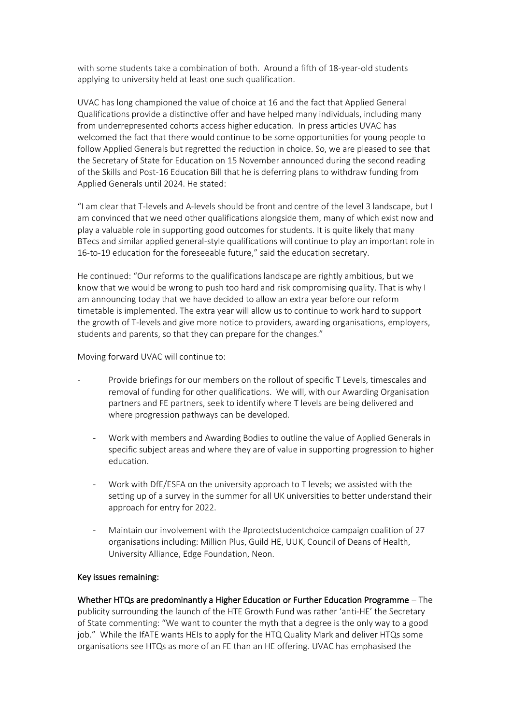with some students take a combination of both. Around a fifth of 18-year-old students applying to university held at least one such qualification.

UVAC has long championed the value of choice at 16 and the fact that Applied General Qualifications provide a distinctive offer and have helped many individuals, including many from underrepresented cohorts access higher education. In press articles UVAC has welcomed the fact that there would continue to be some opportunities for young people to follow Applied Generals but regretted the reduction in choice. So, we are pleased to see that the Secretary of State for Education on 15 November announced during the second reading of the Skills and Post-16 Education Bill that he is deferring plans to withdraw funding from Applied Generals until 2024. He stated:

"I am clear that T-levels and A-levels should be front and centre of the level 3 landscape, but I am convinced that we need other qualifications alongside them, many of which exist now and play a valuable role in supporting good outcomes for students. It is quite likely that many BTecs and similar applied general-style qualifications will continue to play an important role in 16-to-19 education for the foreseeable future," said the education secretary.

He continued: "Our reforms to the qualifications landscape are rightly ambitious, but we know that we would be wrong to push too hard and risk compromising quality. That is why I am announcing today that we have decided to allow an extra year before our reform timetable is implemented. The extra year will allow us to continue to work hard to support the growth of T-levels and give more notice to providers, awarding organisations, employers, students and parents, so that they can prepare for the changes."

Moving forward UVAC will continue to:

- Provide briefings for our members on the rollout of specific T Levels, timescales and removal of funding for other qualifications. We will, with our Awarding Organisation partners and FE partners, seek to identify where T levels are being delivered and where progression pathways can be developed.
	- Work with members and Awarding Bodies to outline the value of Applied Generals in specific subject areas and where they are of value in supporting progression to higher education.
	- Work with DfE/ESFA on the university approach to T levels; we assisted with the setting up of a survey in the summer for all UK universities to better understand their approach for entry for 2022.
	- Maintain our involvement with the #protectstudentchoice campaign coalition of 27 organisations including: Million Plus, Guild HE, UUK, Council of Deans of Health, University Alliance, Edge Foundation, Neon.

#### Key issues remaining:

Whether HTQs are predominantly a Higher Education or Further Education Programme – The publicity surrounding the launch of the HTE Growth Fund was rather 'anti-HE' the Secretary of State commenting: "We want to counter the myth that a degree is the only way to a good job." While the IfATE wants HEIs to apply for the HTQ Quality Mark and deliver HTQs some organisations see HTQs as more of an FE than an HE offering. UVAC has emphasised the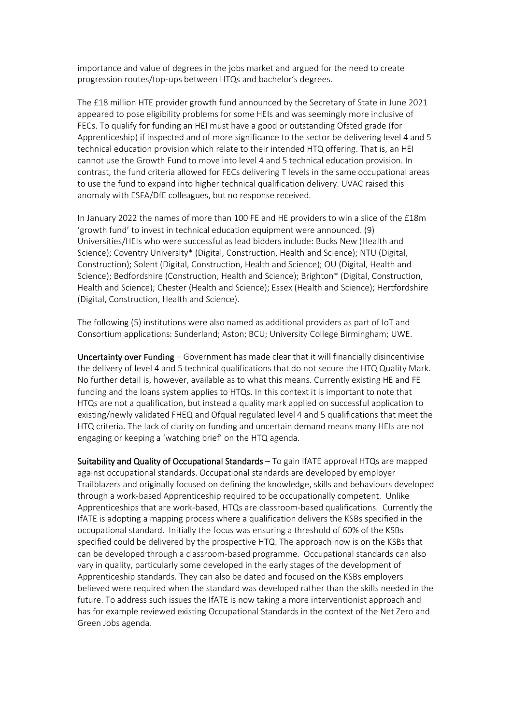importance and value of degrees in the jobs market and argued for the need to create progression routes/top-ups between HTQs and bachelor's degrees.

The £18 million HTE provider growth fund announced by the Secretary of State in June 2021 appeared to pose eligibility problems for some HEIs and was seemingly more inclusive of FECs. To qualify for funding an HEI must have a good or outstanding Ofsted grade (for Apprenticeship) if inspected and of more significance to the sector be delivering level 4 and 5 technical education provision which relate to their intended HTQ offering. That is, an HEI cannot use the Growth Fund to move into level 4 and 5 technical education provision. In contrast, the fund criteria allowed for FECs delivering T levels in the same occupational areas to use the fund to expand into higher technical qualification delivery. UVAC raised this anomaly with ESFA/DfE colleagues, but no response received.

In January 2022 the names of more than 100 FE and HE providers to win a slice of the £18m 'growth fund' to invest in technical education equipment were announced. (9) Universities/HEIs who were successful as lead bidders include: Bucks New (Health and Science); Coventry University\* (Digital, Construction, Health and Science); NTU (Digital, Construction); Solent (Digital, Construction, Health and Science); OU (Digital, Health and Science); Bedfordshire (Construction, Health and Science); Brighton\* (Digital, Construction, Health and Science); Chester (Health and Science); Essex (Health and Science); Hertfordshire (Digital, Construction, Health and Science).

The following (5) institutions were also named as additional providers as part of IoT and Consortium applications: Sunderland; Aston; BCU; University College Birmingham; UWE.

Uncertainty over Funding – Government has made clear that it will financially disincentivise the delivery of level 4 and 5 technical qualifications that do not secure the HTQ Quality Mark. No further detail is, however, available as to what this means. Currently existing HE and FE funding and the loans system applies to HTQs. In this context it is important to note that HTQs are not a qualification, but instead a quality mark applied on successful application to existing/newly validated FHEQ and Ofqual regulated level 4 and 5 qualifications that meet the HTQ criteria. The lack of clarity on funding and uncertain demand means many HEIs are not engaging or keeping a 'watching brief' on the HTQ agenda.

Suitability and Quality of Occupational Standards – To gain IfATE approval HTQs are mapped against occupational standards. Occupational standards are developed by employer Trailblazers and originally focused on defining the knowledge, skills and behaviours developed through a work-based Apprenticeship required to be occupationally competent. Unlike Apprenticeships that are work-based, HTQs are classroom-based qualifications. Currently the IfATE is adopting a mapping process where a qualification delivers the KSBs specified in the occupational standard. Initially the focus was ensuring a threshold of 60% of the KSBs specified could be delivered by the prospective HTQ. The approach now is on the KSBs that can be developed through a classroom-based programme. Occupational standards can also vary in quality, particularly some developed in the early stages of the development of Apprenticeship standards. They can also be dated and focused on the KSBs employers believed were required when the standard was developed rather than the skills needed in the future. To address such issues the IfATE is now taking a more interventionist approach and has for example reviewed existing Occupational Standards in the context of the Net Zero and Green Jobs agenda.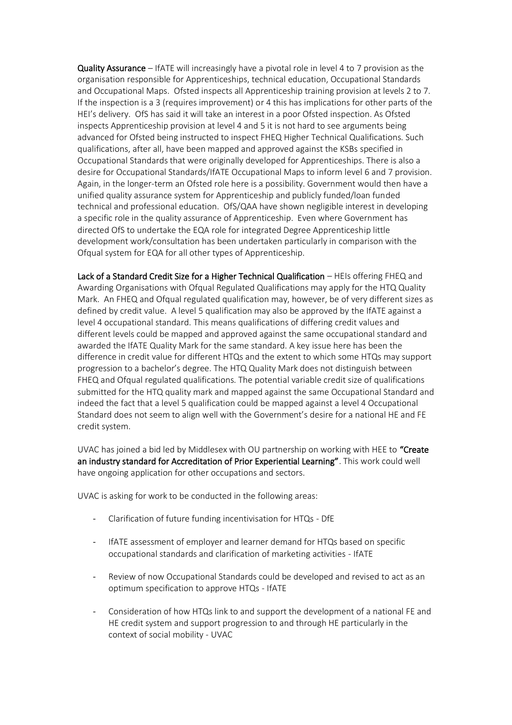Quality Assurance – IfATE will increasingly have a pivotal role in level 4 to 7 provision as the organisation responsible for Apprenticeships, technical education, Occupational Standards and Occupational Maps. Ofsted inspects all Apprenticeship training provision at levels 2 to 7. If the inspection is a 3 (requires improvement) or 4 this has implications for other parts of the HEI's delivery. OfS has said it will take an interest in a poor Ofsted inspection. As Ofsted inspects Apprenticeship provision at level 4 and 5 it is not hard to see arguments being advanced for Ofsted being instructed to inspect FHEQ Higher Technical Qualifications. Such qualifications, after all, have been mapped and approved against the KSBs specified in Occupational Standards that were originally developed for Apprenticeships. There is also a desire for Occupational Standards/IfATE Occupational Maps to inform level 6 and 7 provision. Again, in the longer-term an Ofsted role here is a possibility. Government would then have a unified quality assurance system for Apprenticeship and publicly funded/loan funded technical and professional education. OfS/QAA have shown negligible interest in developing a specific role in the quality assurance of Apprenticeship. Even where Government has directed OfS to undertake the EQA role for integrated Degree Apprenticeship little development work/consultation has been undertaken particularly in comparison with the Ofqual system for EQA for all other types of Apprenticeship.

Lack of a Standard Credit Size for a Higher Technical Qualification – HEIs offering FHEQ and Awarding Organisations with Ofqual Regulated Qualifications may apply for the HTQ Quality Mark. An FHEQ and Ofqual regulated qualification may, however, be of very different sizes as defined by credit value. A level 5 qualification may also be approved by the IfATE against a level 4 occupational standard. This means qualifications of differing credit values and different levels could be mapped and approved against the same occupational standard and awarded the IfATE Quality Mark for the same standard. A key issue here has been the difference in credit value for different HTQs and the extent to which some HTQs may support progression to a bachelor's degree. The HTQ Quality Mark does not distinguish between FHEQ and Ofqual regulated qualifications. The potential variable credit size of qualifications submitted for the HTQ quality mark and mapped against the same Occupational Standard and indeed the fact that a level 5 qualification could be mapped against a level 4 Occupational Standard does not seem to align well with the Government's desire for a national HE and FE credit system.

UVAC has joined a bid led by Middlesex with OU partnership on working with HEE to "Create an industry standard for Accreditation of Prior Experiential Learning". This work could well have ongoing application for other occupations and sectors.

UVAC is asking for work to be conducted in the following areas:

- Clarification of future funding incentivisation for HTQs DfE
- IfATE assessment of employer and learner demand for HTQs based on specific occupational standards and clarification of marketing activities - IfATE
- Review of now Occupational Standards could be developed and revised to act as an optimum specification to approve HTQs - IfATE
- Consideration of how HTQs link to and support the development of a national FE and HE credit system and support progression to and through HE particularly in the context of social mobility - UVAC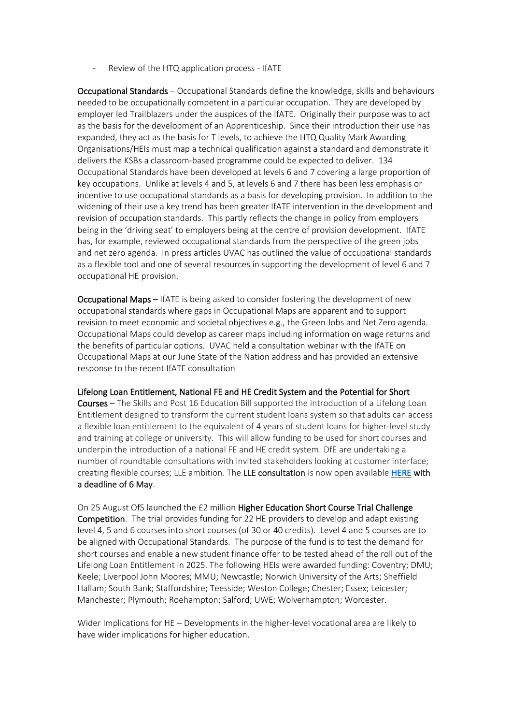Review of the HTQ application process - IfATE

Occupational Standards – Occupational Standards define the knowledge, skills and behaviours needed to be occupationally competent in a particular occupation. They are developed by employer led Trailblazers under the auspices of the IfATE. Originally their purpose was to act as the basis for the development of an Apprenticeship. Since their introduction their use has expanded, they act as the basis for T levels, to achieve the HTQ Quality Mark Awarding Organisations/HEIs must map a technical qualification against a standard and demonstrate it delivers the KSBs a classroom-based programme could be expected to deliver. 134 Occupational Standards have been developed at levels 6 and 7 covering a large proportion of key occupations. Unlike at levels 4 and 5, at levels 6 and 7 there has been less emphasis or incentive to use occupational standards as a basis for developing provision. In addition to the widening of their use a key trend has been greater IfATE intervention in the development and revision of occupation standards. This partly reflects the change in policy from employers being in the 'driving seat' to employers being at the centre of provision development. IfATE has, for example, reviewed occupational standards from the perspective of the green jobs and net zero agenda. In press articles UVAC has outlined the value of occupational standards as a flexible tool and one of several resources in supporting the development of level 6 and 7 occupational HE provision.

Occupational Maps – IfATE is being asked to consider fostering the development of new occupational standards where gaps in Occupational Maps are apparent and to support revision to meet economic and societal objectives e.g., the Green Jobs and Net Zero agenda. Occupational Maps could develop as career maps including information on wage returns and the benefits of particular options. UVAC held a consultation webinar with the IfATE on Occupational Maps at our June State of the Nation address and has provided an extensive response to the recent IfATE consultation

#### Lifelong Loan Entitlement, National FE and HE Credit System and the Potential for Short

Courses – The Skills and Post 16 Education Bill supported the introduction of a Lifelong Loan Entitlement designed to transform the current student loans system so that adults can access a flexible loan entitlement to the equivalent of 4 years of student loans for higher-level study and training at college or university. This will allow funding to be used for short courses and underpin the introduction of a national FE and HE credit system. DfE are undertaking a number of roundtable consultations with invited stakeholders looking at customer interface; creating flexible courses; LLE ambition. The LLE consultation is now open availabl[e HERE](https://consult.education.gov.uk/lifelong-loan-entitlement/lifelong-loan-entitlement-consultation/) with a deadline of 6 May.

On 25 August OfS launched the £2 million Higher Education Short Course Trial Challenge Competition. The trial provides funding for 22 HE providers to develop and adapt existing level 4, 5 and 6 courses into short courses (of 30 or 40 credits). Level 4 and 5 courses are to be aligned with Occupational Standards. The purpose of the fund is to test the demand for short courses and enable a new student finance offer to be tested ahead of the roll out of the Lifelong Loan Entitlement in 2025. The following HEIs were awarded funding: Coventry; DMU; Keele; Liverpool John Moores; MMU; Newcastle; Norwich University of the Arts; Sheffield Hallam; South Bank; Staffordshire; Teesside; Weston College; Chester; Essex; Leicester; Manchester; Plymouth; Roehampton; Salford; UWE; Wolverhampton; Worcester.

Wider Implications for HE – Developments in the higher-level vocational area are likely to have wider implications for higher education.